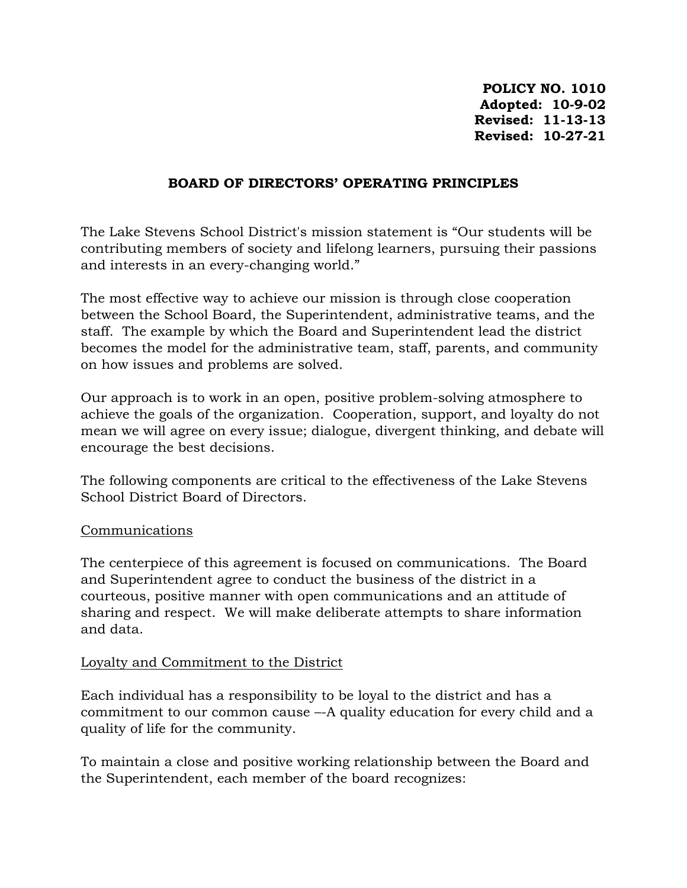**POLICY NO. 1010 Adopted: 10-9-02 Revised: 11-13-13 Revised: 10-27-21**

#### **BOARD OF DIRECTORS' OPERATING PRINCIPLES**

The Lake Stevens School District's mission statement is "Our students will be contributing members of society and lifelong learners, pursuing their passions and interests in an every-changing world."

The most effective way to achieve our mission is through close cooperation between the School Board, the Superintendent, administrative teams, and the staff. The example by which the Board and Superintendent lead the district becomes the model for the administrative team, staff, parents, and community on how issues and problems are solved.

Our approach is to work in an open, positive problem-solving atmosphere to achieve the goals of the organization. Cooperation, support, and loyalty do not mean we will agree on every issue; dialogue, divergent thinking, and debate will encourage the best decisions.

The following components are critical to the effectiveness of the Lake Stevens School District Board of Directors.

#### Communications

The centerpiece of this agreement is focused on communications. The Board and Superintendent agree to conduct the business of the district in a courteous, positive manner with open communications and an attitude of sharing and respect. We will make deliberate attempts to share information and data.

#### Loyalty and Commitment to the District

Each individual has a responsibility to be loyal to the district and has a commitment to our common cause –-A quality education for every child and a quality of life for the community.

To maintain a close and positive working relationship between the Board and the Superintendent, each member of the board recognizes: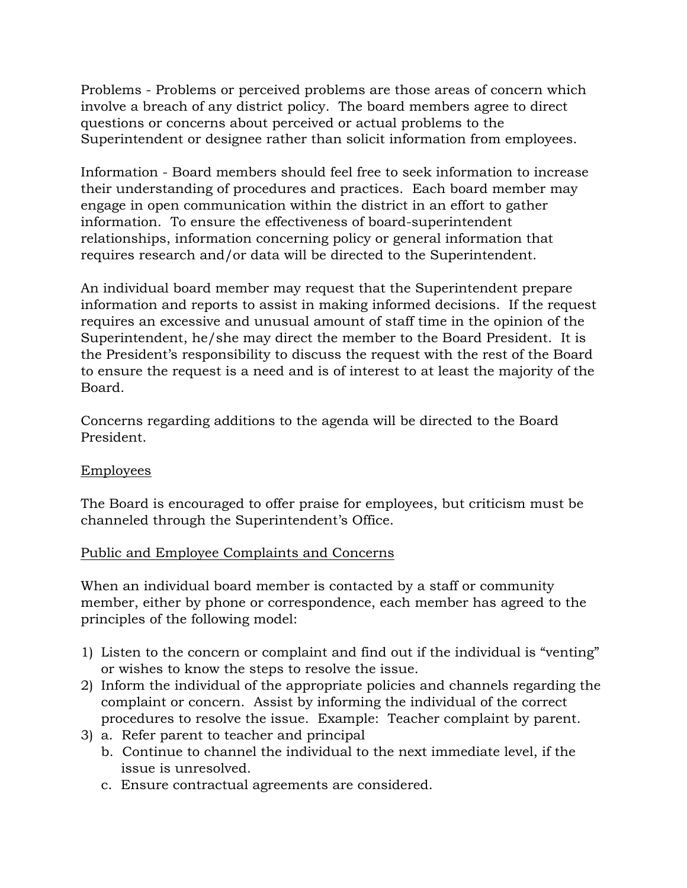Problems - Problems or perceived problems are those areas of concern which involve a breach of any district policy. The board members agree to direct questions or concerns about perceived or actual problems to the Superintendent or designee rather than solicit information from employees.

Information - Board members should feel free to seek information to increase their understanding of procedures and practices. Each board member may engage in open communication within the district in an effort to gather information. To ensure the effectiveness of board-superintendent relationships, information concerning policy or general information that requires research and/or data will be directed to the Superintendent.

An individual board member may request that the Superintendent prepare information and reports to assist in making informed decisions. If the request requires an excessive and unusual amount of staff time in the opinion of the Superintendent, he/she may direct the member to the Board President. It is the President's responsibility to discuss the request with the rest of the Board to ensure the request is a need and is of interest to at least the majority of the Board.

Concerns regarding additions to the agenda will be directed to the Board President.

# Employees

The Board is encouraged to offer praise for employees, but criticism must be channeled through the Superintendent's Office.

# Public and Employee Complaints and Concerns

When an individual board member is contacted by a staff or community member, either by phone or correspondence, each member has agreed to the principles of the following model:

- 1) Listen to the concern or complaint and find out if the individual is "venting" or wishes to know the steps to resolve the issue.
- 2) Inform the individual of the appropriate policies and channels regarding the complaint or concern. Assist by informing the individual of the correct procedures to resolve the issue. Example: Teacher complaint by parent.
- 3) a. Refer parent to teacher and principal
	- b. Continue to channel the individual to the next immediate level, if the issue is unresolved.
	- c. Ensure contractual agreements are considered.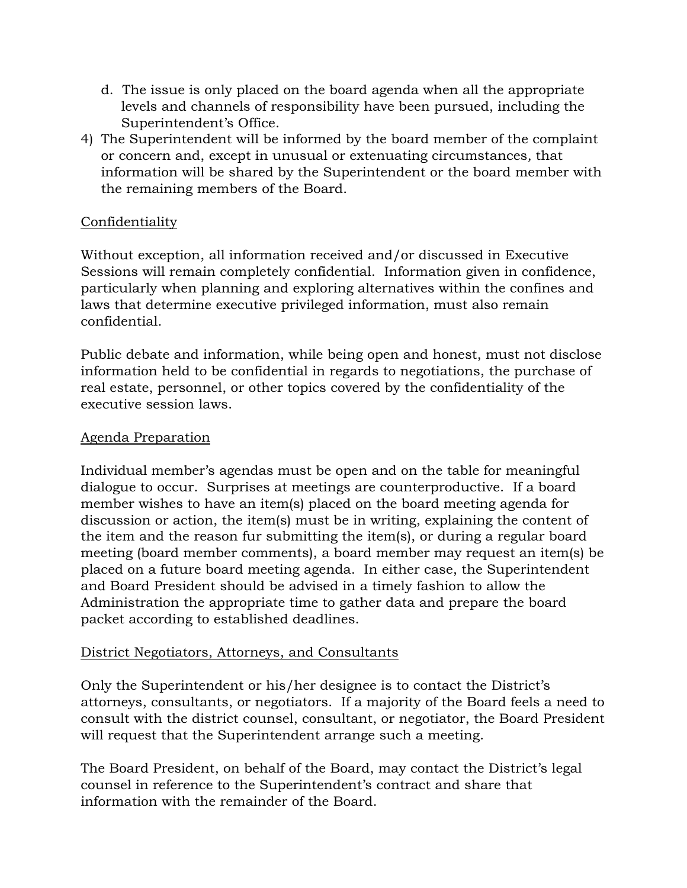- d. The issue is only placed on the board agenda when all the appropriate levels and channels of responsibility have been pursued, including the Superintendent's Office.
- 4) The Superintendent will be informed by the board member of the complaint or concern and, except in unusual or extenuating circumstances*,* that information will be shared by the Superintendent or the board member with the remaining members of the Board.

# Confidentiality

Without exception, all information received and/or discussed in Executive Sessions will remain completely confidential. Information given in confidence, particularly when planning and exploring alternatives within the confines and laws that determine executive privileged information, must also remain confidential.

Public debate and information, while being open and honest, must not disclose information held to be confidential in regards to negotiations, the purchase of real estate, personnel, or other topics covered by the confidentiality of the executive session laws.

# Agenda Preparation

Individual member's agendas must be open and on the table for meaningful dialogue to occur. Surprises at meetings are counterproductive. If a board member wishes to have an item(s) placed on the board meeting agenda for discussion or action, the item(s) must be in writing, explaining the content of the item and the reason fur submitting the item(s), or during a regular board meeting (board member comments), a board member may request an item(s) be placed on a future board meeting agenda. In either case, the Superintendent and Board President should be advised in a timely fashion to allow the Administration the appropriate time to gather data and prepare the board packet according to established deadlines.

# District Negotiators, Attorneys, and Consultants

Only the Superintendent or his/her designee is to contact the District's attorneys, consultants, or negotiators. If a majority of the Board feels a need to consult with the district counsel, consultant, or negotiator, the Board President will request that the Superintendent arrange such a meeting.

The Board President, on behalf of the Board, may contact the District's legal counsel in reference to the Superintendent's contract and share that information with the remainder of the Board.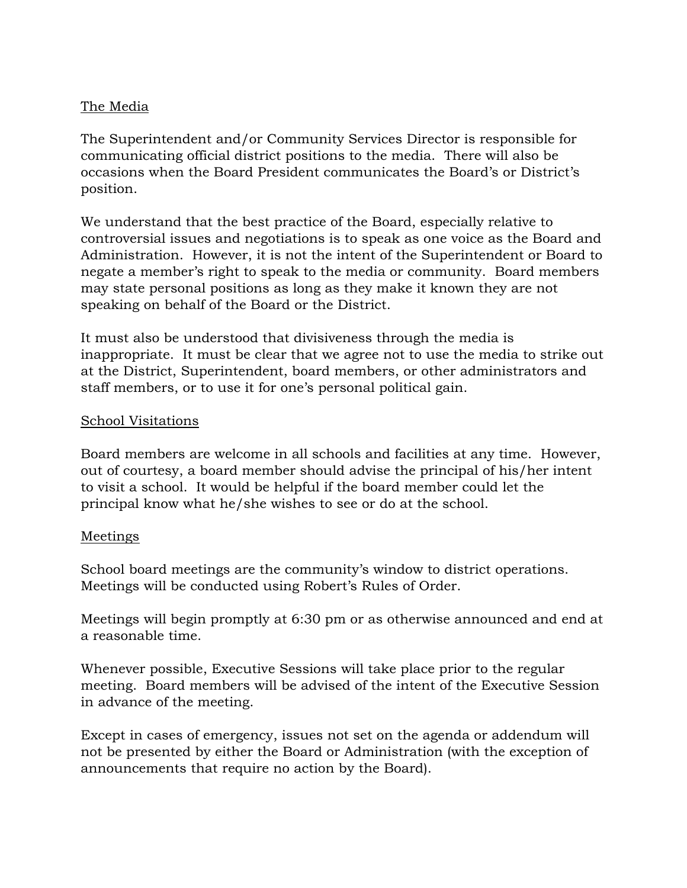## The Media

The Superintendent and/or Community Services Director is responsible for communicating official district positions to the media. There will also be occasions when the Board President communicates the Board's or District's position.

We understand that the best practice of the Board, especially relative to controversial issues and negotiations is to speak as one voice as the Board and Administration. However, it is not the intent of the Superintendent or Board to negate a member's right to speak to the media or community. Board members may state personal positions as long as they make it known they are not speaking on behalf of the Board or the District.

It must also be understood that divisiveness through the media is inappropriate. It must be clear that we agree not to use the media to strike out at the District, Superintendent, board members, or other administrators and staff members, or to use it for one's personal political gain.

#### School Visitations

Board members are welcome in all schools and facilities at any time. However, out of courtesy, a board member should advise the principal of his/her intent to visit a school. It would be helpful if the board member could let the principal know what he/she wishes to see or do at the school.

#### Meetings

School board meetings are the community's window to district operations. Meetings will be conducted using Robert's Rules of Order.

Meetings will begin promptly at 6:30 pm or as otherwise announced and end at a reasonable time.

Whenever possible, Executive Sessions will take place prior to the regular meeting. Board members will be advised of the intent of the Executive Session in advance of the meeting.

Except in cases of emergency, issues not set on the agenda or addendum will not be presented by either the Board or Administration (with the exception of announcements that require no action by the Board).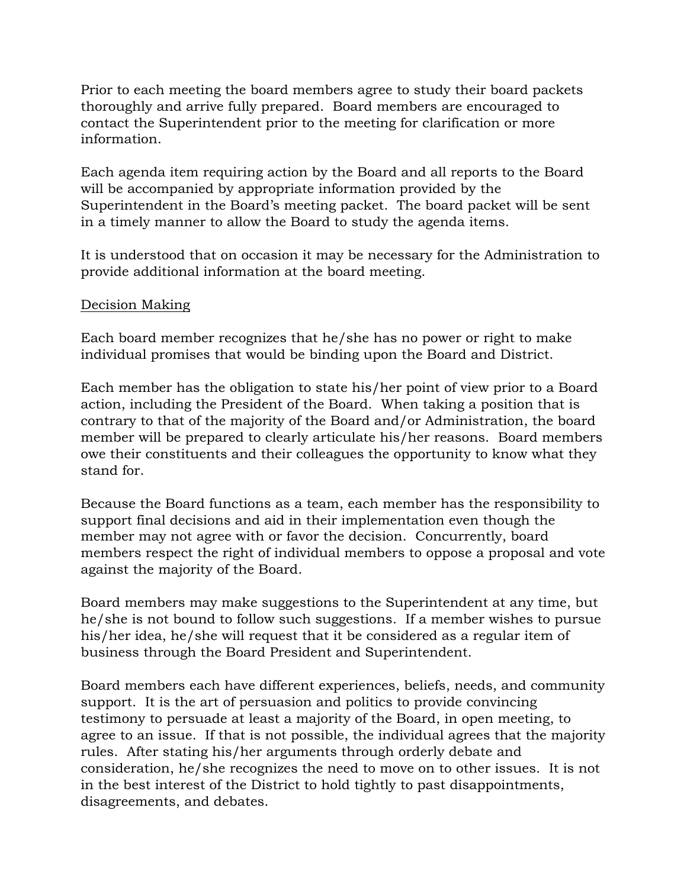Prior to each meeting the board members agree to study their board packets thoroughly and arrive fully prepared. Board members are encouraged to contact the Superintendent prior to the meeting for clarification or more information.

Each agenda item requiring action by the Board and all reports to the Board will be accompanied by appropriate information provided by the Superintendent in the Board's meeting packet. The board packet will be sent in a timely manner to allow the Board to study the agenda items.

It is understood that on occasion it may be necessary for the Administration to provide additional information at the board meeting.

#### Decision Making

Each board member recognizes that he/she has no power or right to make individual promises that would be binding upon the Board and District.

Each member has the obligation to state his/her point of view prior to a Board action, including the President of the Board. When taking a position that is contrary to that of the majority of the Board and/or Administration, the board member will be prepared to clearly articulate his/her reasons. Board members owe their constituents and their colleagues the opportunity to know what they stand for.

Because the Board functions as a team, each member has the responsibility to support final decisions and aid in their implementation even though the member may not agree with or favor the decision. Concurrently, board members respect the right of individual members to oppose a proposal and vote against the majority of the Board.

Board members may make suggestions to the Superintendent at any time, but he/she is not bound to follow such suggestions. If a member wishes to pursue his/her idea, he/she will request that it be considered as a regular item of business through the Board President and Superintendent.

Board members each have different experiences, beliefs, needs, and community support. It is the art of persuasion and politics to provide convincing testimony to persuade at least a majority of the Board, in open meeting, to agree to an issue. If that is not possible, the individual agrees that the majority rules. After stating his/her arguments through orderly debate and consideration, he/she recognizes the need to move on to other issues. It is not in the best interest of the District to hold tightly to past disappointments, disagreements, and debates.